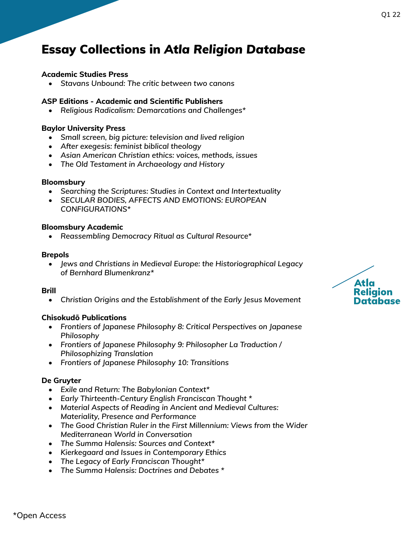## **Academic Studies Press**

*• Stavans Unbound: The critic between two canons* 

## **ASP Editions - Academic and Scientific Publishers**

*• Religious Radicalism: Demarcations and Challenges\** 

#### **Baylor University Press**

- *• Small screen, big picture: television and lived religion*
- *• After exegesis: feminist biblical theology*
- *• Asian American Christian ethics: voices, methods, issues*
- *• The Old Testament in Archaeology and History*

#### **Bloomsbury**

- *• Searching the Scriptures: Studies in Context and Intertextuality*
- *• SECULAR BODIES, AFFECTS AND EMOTIONS: EUROPEAN CONFIGURATIONS\**

#### **Bloomsbury Academic**

*• Reassembling Democracy Ritual as Cultural Resource\**

#### **Brepols**

*• Jews and Christians in Medieval Europe: the Historiographical Legacy of Bernhard Blumenkranz\**

#### **Brill**

*• Christian Origins and the Establishment of the Early Jesus Movement* 

## **Chisokudō Publications**

- *• Frontiers of Japanese Philosophy 8: Critical Perspectives on Japanese Philosophy*
- *• Frontiers of Japanese Philosophy 9: Philosopher La Traduction / Philosophizing Translation*
- *• Frontiers of Japanese Philosophy 10: Transitions*

#### **De Gruyter**

- *• Exile and Return: The Babylonian Context\**
- *• Early Thirteenth-Century English Franciscan Thought \**
- *• Material Aspects of Reading in Ancient and Medieval Cultures: Materiality, Presence and Performance*
- *• The Good Christian Ruler in the First Millennium: Views from the Wider Mediterranean World in Conversation*
- *• The Summa Halensis: Sources and Context\**
- *• Kierkegaard and Issues in Contemporary Ethics*
- *• The Legacy of Early Franciscan Thought\**
- *• The Summa Halensis: Doctrines and Debates \**

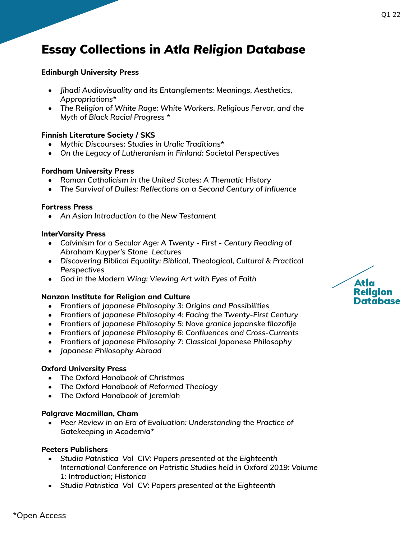## **Edinburgh University Press**

- *• Jihadi Audiovisuality and its Entanglements: Meanings, Aesthetics, Appropriations\**
- *• The Religion of White Rage: White Workers, Religious Fervor, and the Myth of Black Racial Progress \**

## **Finnish Literature Society / SKS**

- *• Mythic Discourses: Studies in Uralic Traditions\**
- *• On the Legacy of Lutheranism in Finland: Societal Perspectives*

## **Fordham University Press**

- *• Roman Catholicism in the United States: A Thematic History*
- *• The Survival of Dulles: Reflections on a Second Century of Influence*

## **Fortress Press**

*• An Asian Introduction to the New Testament* 

## **InterVarsity Press**

- *• Calvinism for a Secular Age: A Twenty First Century Reading of Abraham Kuyper's Stone Lectures*
- *• Discovering Biblical Equality: Biblical, Theological, Cultural & Practical Perspectives*
- *• God in the Modern Wing: Viewing Art with Eyes of Faith*

## **Nanzan Institute for Religion and Culture**

- *• Frontiers of Japanese Philosophy 3: Origins and Possibilities*
- *• Frontiers of Japanese Philosophy 4: Facing the Twenty-First Century*
- *• Frontiers of Japanese Philosophy 5: Nove granice japanske filozofije*
- *• Frontiers of Japanese Philosophy 6: Confluences and Cross-Currents*
- *• Frontiers of Japanese Philosophy 7: Classical Japanese Philosophy*
- *• Japanese Philosophy Abroad*

# **Oxford University Press**

- *• The Oxford Handbook of Christmas*
- *• The Oxford Handbook of Reformed Theology*
- *• The Oxford Handbook of Jeremiah*

## **Palgrave Macmillan, Cham**

*• Peer Review in an Era of Evaluation: Understanding the Practice of Gatekeeping in Academia\**

## **Peeters Publishers**

- *• Studia Patristica Vol CIV: Papers presented at the Eighteenth International Conference on Patristic Studies held in Oxford 2019: Volume 1: Introduction; Historica*
- *• Studia Patristica Vol CV: Papers presented at the Eighteenth*

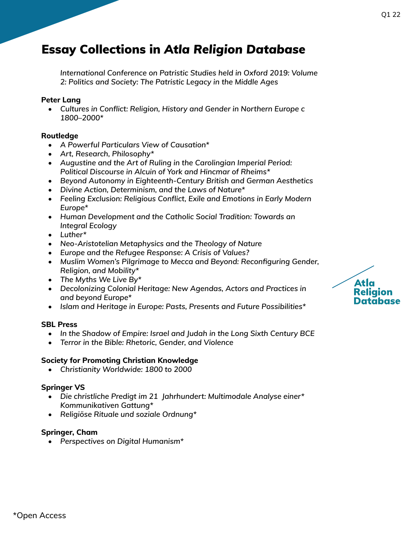*International Conference on Patristic Studies held in Oxford 2019: Volume 2: Politics and Society: The Patristic Legacy in the Middle Ages* 

## **Peter Lang**

*• Cultures in Conflict: Religion, History and Gender in Northern Europe c 1800–2000\**

## **Routledge**

- *• A Powerful Particulars View of Causation\**
- *• Art, Research, Philosophy\**
- *• Augustine and the Art of Ruling in the Carolingian Imperial Period: Political Discourse in Alcuin of York and Hincmar of Rheims\**
- *• Beyond Autonomy in Eighteenth-Century British and German Aesthetics*
- *• Divine Action, Determinism, and the Laws of Nature\**
- *• Feeling Exclusion: Religious Conflict, Exile and Emotions in Early Modern Europe\**
- *• Human Development and the Catholic Social Tradition: Towards an Integral Ecology*
- *• Luther\**
- *• Neo-Aristotelian Metaphysics and the Theology of Nature*
- *• Europe and the Refugee Response: A Crisis of Values?*
- *• Muslim Women's Pilgrimage to Mecca and Beyond: Reconfiguring Gender, Religion, and Mobility\**
- *• The Myths We Live By\**
- *• Decolonizing Colonial Heritage: New Agendas, Actors and Practices in and beyond Europe\**
- *• Islam and Heritage in Europe: Pasts, Presents and Future Possibilities\**

## **SBL Press**

- *• In the Shadow of Empire: Israel and Judah in the Long Sixth Century BCE*
- *• Terror in the Bible: Rhetoric, Gender, and Violence*

## **Society for Promoting Christian Knowledge**

*• Christianity Worldwide: 1800 to 2000* 

# **Springer VS**

- *• Die christliche Predigt im 21 Jahrhundert: Multimodale Analyse einer\* Kommunikativen Gattung\**
- *• Religiöse Rituale und soziale Ordnung\**

## **Springer, Cham**

*• Perspectives on Digital Humanism\**